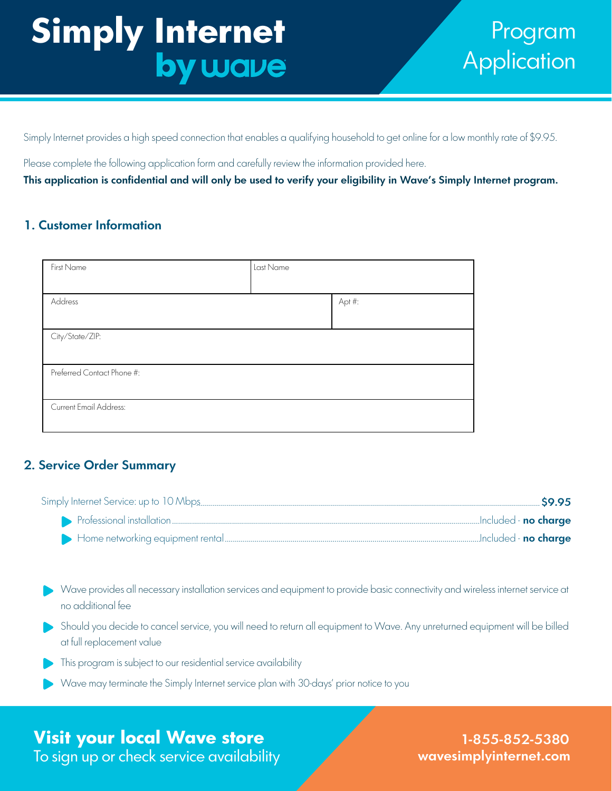# **Simply Internet** by wave

## Program **Application**

Simply Internet provides a high speed connection that enables a qualifying household to get online for a low monthly rate of \$9.95.

Please complete the following application form and carefully review the information provided here.

This application is confidential and will only be used to verify your eligibility in Wave's Simply Internet program.

## 1. Customer Information

| First Name                 | Last Name |        |
|----------------------------|-----------|--------|
|                            |           |        |
| Address                    |           | Apt #: |
|                            |           |        |
| City/State/ZIP:            |           |        |
|                            |           |        |
| Preferred Contact Phone #: |           |        |
|                            |           |        |
| Current Email Address:     |           |        |
|                            |           |        |

## 2. Service Order Summary

| Included - <b>no charge</b> |  |
|-----------------------------|--|
|                             |  |

- Wave provides all necessary installation services and equipment to provide basic connectivity and wireless internet service at no additional fee
- Should you decide to cancel service, you will need to return all equipment to Wave. Any unreturned equipment will be billed at full replacement value
- This program is subject to our residential service availability
- Wave may terminate the Simply Internet service plan with 30-days' prior notice to you

## **Visit your local Wave store**

To sign up or check service availability

wavesimplyinternet.com 1-855-852-5380